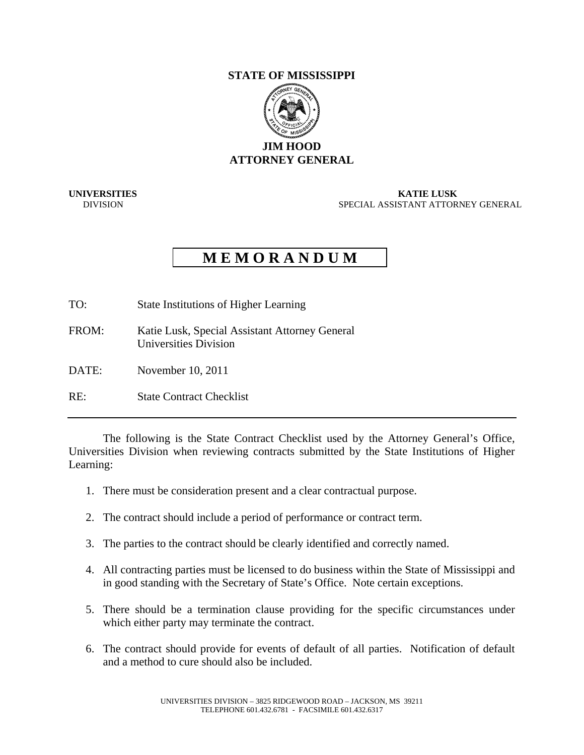## **STATE OF MISSISSIPPI**



**UNIVERSITIES KATIE LUSK**<br>DIVISION SPECIAL ASSISTANT ATTOR **SPECIAL ASSISTANT ATTORNEY GENERAL** 

## **M E M O R A N D U M**

- TO: State Institutions of Higher Learning
- FROM: Katie Lusk, Special Assistant Attorney General Universities Division
- DATE: November 10, 2011
- RE: State Contract Checklist

 The following is the State Contract Checklist used by the Attorney General's Office, Universities Division when reviewing contracts submitted by the State Institutions of Higher Learning:

- 1. There must be consideration present and a clear contractual purpose.
- 2. The contract should include a period of performance or contract term.
- 3. The parties to the contract should be clearly identified and correctly named.
- 4. All contracting parties must be licensed to do business within the State of Mississippi and in good standing with the Secretary of State's Office. Note certain exceptions.
- 5. There should be a termination clause providing for the specific circumstances under which either party may terminate the contract.
- 6. The contract should provide for events of default of all parties. Notification of default and a method to cure should also be included.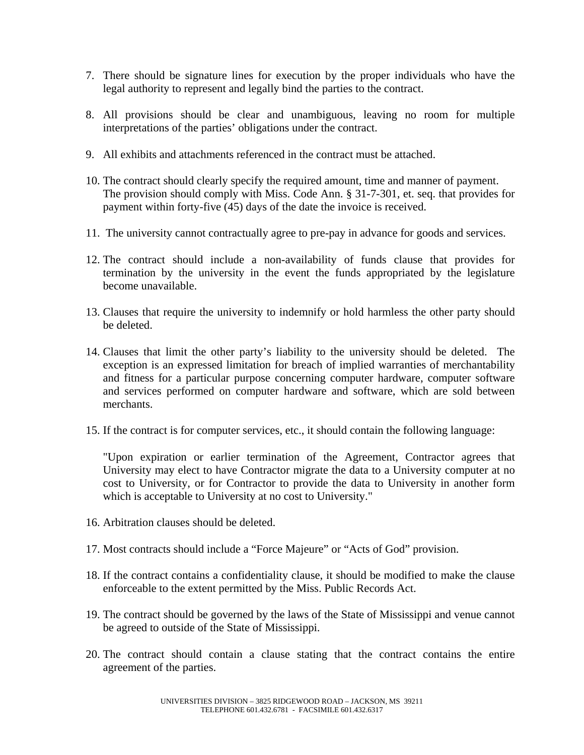- 7. There should be signature lines for execution by the proper individuals who have the legal authority to represent and legally bind the parties to the contract.
- 8. All provisions should be clear and unambiguous, leaving no room for multiple interpretations of the parties' obligations under the contract.
- 9. All exhibits and attachments referenced in the contract must be attached.
- 10. The contract should clearly specify the required amount, time and manner of payment. The provision should comply with Miss. Code Ann. § 31-7-301, et. seq. that provides for payment within forty-five (45) days of the date the invoice is received.
- 11. The university cannot contractually agree to pre-pay in advance for goods and services.
- 12. The contract should include a non-availability of funds clause that provides for termination by the university in the event the funds appropriated by the legislature become unavailable.
- 13. Clauses that require the university to indemnify or hold harmless the other party should be deleted.
- 14. Clauses that limit the other party's liability to the university should be deleted. The exception is an expressed limitation for breach of implied warranties of merchantability and fitness for a particular purpose concerning computer hardware, computer software and services performed on computer hardware and software, which are sold between merchants.
- 15. If the contract is for computer services, etc., it should contain the following language:

"Upon expiration or earlier termination of the Agreement, Contractor agrees that University may elect to have Contractor migrate the data to a University computer at no cost to University, or for Contractor to provide the data to University in another form which is acceptable to University at no cost to University."

- 16. Arbitration clauses should be deleted.
- 17. Most contracts should include a "Force Majeure" or "Acts of God" provision.
- 18. If the contract contains a confidentiality clause, it should be modified to make the clause enforceable to the extent permitted by the Miss. Public Records Act.
- 19. The contract should be governed by the laws of the State of Mississippi and venue cannot be agreed to outside of the State of Mississippi.
- 20. The contract should contain a clause stating that the contract contains the entire agreement of the parties.